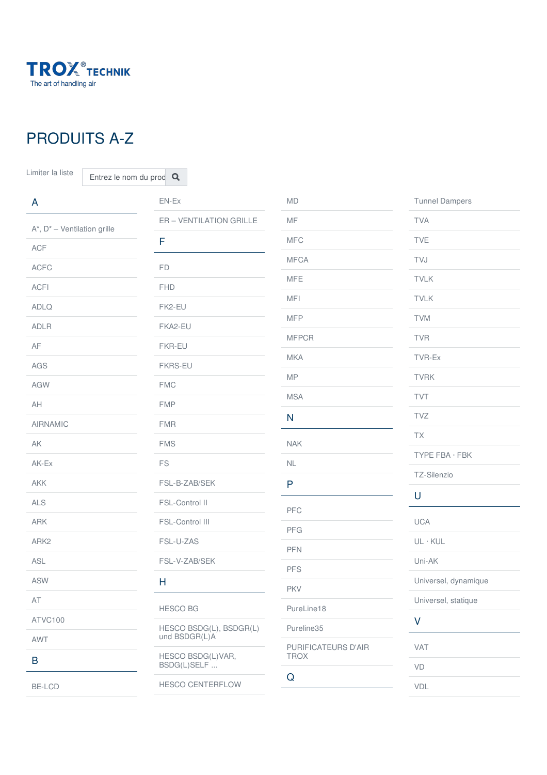

## PRODUITS A-Z

Limiter la liste  $\boxed{\overline{\text{Entrez}}}$  le nom du prod

| $\mathsf{A}$                       | $EN-EX$                                  | $\mathsf{MD}$                      | <b>Tunnel Dampers</b> |
|------------------------------------|------------------------------------------|------------------------------------|-----------------------|
| $A^*$ , $D^*$ – Ventilation grille | ER - VENTILATION GRILLE                  | MF                                 | <b>TVA</b>            |
| <b>ACF</b>                         | F                                        | <b>MFC</b>                         | <b>TVE</b>            |
|                                    |                                          | <b>MFCA</b>                        | TVJ                   |
| <b>ACFC</b>                        | FD                                       | <b>MFE</b>                         | <b>TVLK</b>           |
| <b>ACFI</b>                        | <b>FHD</b>                               |                                    |                       |
| <b>ADLQ</b>                        | FK2-EU                                   | <b>MFI</b>                         | <b>TVLK</b>           |
| <b>ADLR</b>                        | FKA2-EU                                  | <b>MFP</b>                         | <b>TVM</b>            |
| AF                                 | FKR-EU                                   | <b>MFPCR</b>                       | <b>TVR</b>            |
| AGS                                | <b>FKRS-EU</b>                           | <b>MKA</b>                         | TVR-Ex                |
| AGW                                | <b>FMC</b>                               | <b>MP</b>                          | <b>TVRK</b>           |
| AH                                 | <b>FMP</b>                               | <b>MSA</b>                         | TVT                   |
| <b>AIRNAMIC</b>                    | <b>FMR</b>                               | $\mathsf{N}$                       | TVZ                   |
| ${\sf AK}$                         | <b>FMS</b>                               | <b>NAK</b>                         | TX                    |
|                                    |                                          |                                    | TYPE FBA · FBK        |
| AK-Ex                              | $\mathop{\mathsf{FS}}$                   | $\mathsf{NL}\xspace$               | TZ-Silenzio           |
| <b>AKK</b>                         | FSL-B-ZAB/SEK                            | P                                  |                       |
| ALS                                | FSL-Control II                           | PFC                                | U                     |
| ARK                                | FSL-Control III                          |                                    | <b>UCA</b>            |
| ARK <sub>2</sub>                   | FSL-U-ZAS                                | <b>PFG</b>                         | $UL \cdot KUL$        |
| ASL                                | FSL-V-ZAB/SEK                            | PFN                                | Uni-AK                |
| <b>ASW</b>                         | H                                        | PFS                                | Universel, dynamique  |
| AT                                 |                                          | PKV                                | Universel, statique   |
| ATVC100                            | <b>HESCO BG</b>                          | PureLine18                         | $\vee$                |
|                                    | HESCO BSDG(L), BSDGR(L)<br>und BSDGR(L)A | Pureline35                         |                       |
| AWT                                | HESCO BSDG(L)VAR,<br>BSDG(L)SELF         | PURIFICATEURS D'AIR<br><b>TROX</b> | VAT                   |
| B                                  |                                          |                                    | $\mathsf{VD}$         |
| BE-LCD                             | HESCO CENTERFLOW                         | Q                                  | VDL                   |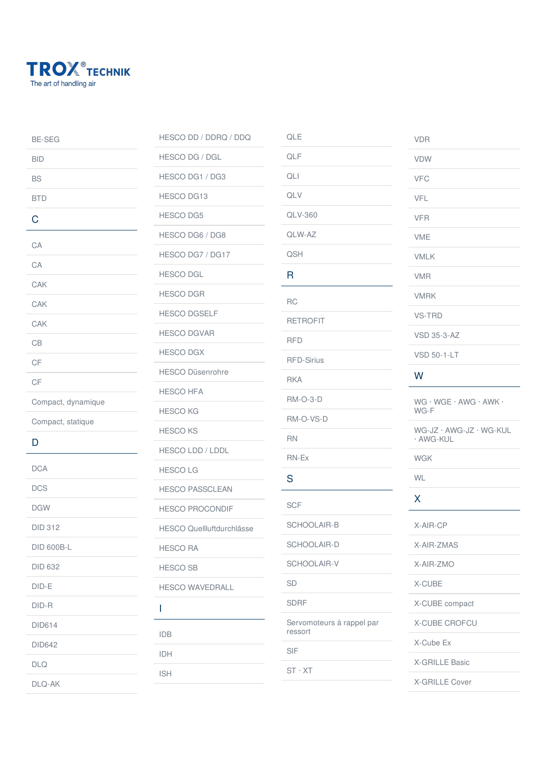

[DLQ-AK](https://www.trox.fr/diffuseurs-plafonniers/dlq-ak-d64274a927367b56)

| <b>BE-SEG</b>      | HESCO DD / DDRQ / DDQ            |  |
|--------------------|----------------------------------|--|
| <b>BID</b>         | <b>HESCO DG / DGL</b>            |  |
| <b>BS</b>          | HESCO DG1 / DG3                  |  |
| <b>BTD</b>         | <b>HESCO DG13</b>                |  |
| C                  | <b>HESCO DG5</b>                 |  |
| CA                 | HESCO DG6 / DG8                  |  |
| CA                 | HESCO DG7 / DG17                 |  |
|                    | <b>HESCO DGL</b>                 |  |
| CAK                | <b>HESCO DGR</b>                 |  |
| CAK                | <b>HESCO DGSELF</b>              |  |
| CAK                | <b>HESCO DGVAR</b>               |  |
| CB                 | <b>HESCO DGX</b>                 |  |
| CF                 | <b>HESCO Düsenrohre</b>          |  |
| CF                 | <b>HESCO HFA</b>                 |  |
| Compact, dynamique | <b>HESCO KG</b>                  |  |
| Compact, statique  | <b>HESCO KS</b>                  |  |
| D                  | <b>HESCO LDD / LDDL</b>          |  |
| <b>DCA</b>         | <b>HESCOLG</b>                   |  |
| <b>DCS</b>         | <b>HESCO PASSCLEAN</b>           |  |
| <b>DGW</b>         | <b>HESCO PROCONDIF</b>           |  |
| <b>DID 312</b>     | <b>HESCO Quellluftdurchlässe</b> |  |
| <b>DID 600B-L</b>  | <b>HESCO RA</b>                  |  |
| <b>DID 632</b>     | <b>HESCO SB</b>                  |  |
| DID-E              | <b>HESCO WAVEDRALL</b>           |  |
| DID-R              | I                                |  |
| <b>DID614</b>      |                                  |  |
| <b>DID642</b>      | <b>IDB</b>                       |  |
| <b>DLQ</b>         | IDH                              |  |
|                    | <b>ISH</b>                       |  |

| QLE                                  |  |  |
|--------------------------------------|--|--|
| QLF                                  |  |  |
| QLI                                  |  |  |
| QLV                                  |  |  |
| <b>QLV-360</b>                       |  |  |
| QLW-AZ                               |  |  |
| QSH                                  |  |  |
| R                                    |  |  |
| <b>RC</b>                            |  |  |
| <b>RETROFIT</b>                      |  |  |
| <b>RFD</b>                           |  |  |
| <b>RFD-Sirius</b>                    |  |  |
| <b>RKA</b>                           |  |  |
| <b>RM-O-3-D</b>                      |  |  |
| RM-O-VS-D                            |  |  |
| <b>RN</b>                            |  |  |
| RN-Ex                                |  |  |
| S                                    |  |  |
| <b>SCF</b>                           |  |  |
| <b>SCHOOLAIR-B</b>                   |  |  |
| SCHOOLAIR-D                          |  |  |
| SCHOOLAIR-V                          |  |  |
| <b>SD</b>                            |  |  |
| <b>SDRF</b>                          |  |  |
| Servomoteurs à rappel par<br>ressort |  |  |
| SIF                                  |  |  |
| $ST \cdot XT$                        |  |  |

[VDR](https://www.trox.fr/diffuseurs-industriels/vdr-60b75646ffae532b) [VDW](https://www.trox.fr/diffuseurs-%25C3%25A0-jet-h%25C3%25A9lico%25C3%25AFdal/vdw-45c319e39ee9cb48) [VFC](https://www.trox.fr/r%25C3%25A9gulateur-de-d%25C3%25A9bit-kvs/vfc-b51b2b940a40d49b) [VFL](https://www.trox.fr/r%25C3%25A9gulateur-de-d%25C3%25A9bit-kvs/vfl-7586d0bfd76043af) [VFR](https://www.trox.fr/clapets-de-r%25C3%25A9glage/vfr-154b3f3ad18511d5) [VME](https://www.trox.fr/stations-de-mesure-du-d%25C3%25A9bit-dair/vme-0064fc7bcff5e677) [VMLK](https://www.trox.fr/stations-de-mesure-du-d%25C3%25A9bit-dair/vmlk-78fd739d434fbd88) [VMR](https://www.trox.fr/stations-de-mesure-du-d%25C3%25A9bit-dair/vmr-c61bf4f469cbc82c) [VMRK](https://www.trox.fr/stations-de-mesure-du-d%25C3%25A9bit-dair/vmrk-b779e1b5c7ab37fb) [VS-TRD](https://www.trox.fr/syst%25C3%25A8mes-de-d%25C3%25A9tection/vs-trd-323893806c46162d) VSD [35-3-AZ](https://www.trox.fr/diffuseurs-%25C3%25A0-fente/vsd-35-3-az-6ae76233399b6f96) VSD [50-1-LT](https://www.trox.fr/diffuseurs-%25C3%25A0-fente/vsd-50-1-lt-96fd9e972931a7c6)

## W

X WG · WGE · AWG · AWK · [WG-F](https://www.trox.fr/prises-dair-ext%25C3%25A9rieures/wg-%25C2%25B7-wge-%25C2%25B7-awg-%25C2%25B7-awk-%25C2%25B7-wg-f-75ddf01773342893) WG-JZ · AWG-JZ · WG-KUL · [AWG-KUL](https://www.trox.fr/prises-dair-ext%25C3%25A9rieures/wg-jz-%25C2%25B7-awg-jz-%25C2%25B7-wg-kul-%25C2%25B7-awg-kul-b895477d3986d8ef) [WGK](https://www.trox.fr/prises-dair-ext%25C3%25A9rieures/wgk-8d9f716fc4aaf06c) [WL](https://www.trox.fr/batteries/wl-cce05b779f7c6f90) [X-AIR-CP](https://www.trox.fr/panneaux-de-commande/x-air-cp-d1d83138d02c06e1) [X-AIR-ZMAS](https://www.trox.fr/dispositifs-principaux/x-air-zmas-42c6501346f35cf0) [X-AIR-ZMO](https://www.trox.fr/modules-de-zone/x-air-zmo-f6d34ac269c87d22) [X-CUBE](https://www.trox.fr/centrale-de-traitement-dair/x-cube-3a722e695dcdd85a) X-CUBE [compact](https://www.trox.fr/centrale-de-traitement-dair/x-cube-compact-baa96aeda8f4bbba) X-CUBE [CROFCU](https://www.trox.fr/centrale-de-traitement-dair/x-cube-crofcu-4d141a31dec8aeff) [X-Cube](https://www.trox.fr/centrale-de-traitement-dair/x-cube-ex-99925d3d712111e2) Ex [X-GRILLE](https://www.trox.fr/grilles-de-ventilation/x-grille-basic-10ef847b7079cc90) Basic

[X-GRILLE](https://www.trox.fr/grilles-de-ventilation/x-grille-cover-209c620b89a99803) Cover